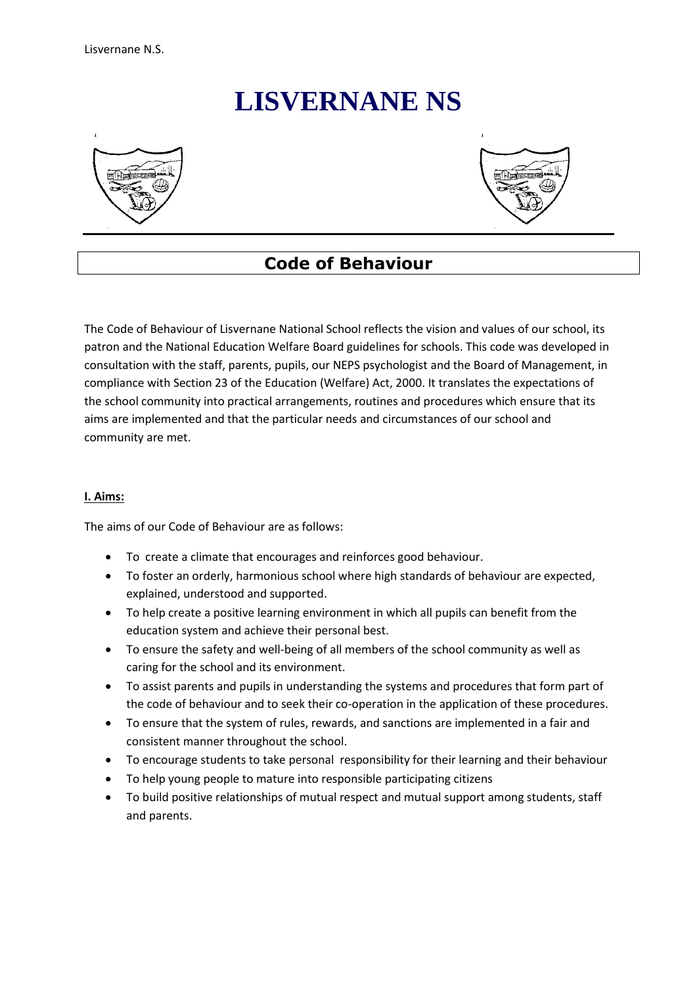# **LISVERNANE NS**





# **Code of Behaviour**

The Code of Behaviour of Lisvernane National School reflects the vision and values of our school, its patron and the National Education Welfare Board guidelines for schools. This code was developed in consultation with the staff, parents, pupils, our NEPS psychologist and the Board of Management, in compliance with Section 23 of the Education (Welfare) Act, 2000. It translates the expectations of the school community into practical arrangements, routines and procedures which ensure that its aims are implemented and that the particular needs and circumstances of our school and community are met.

## **I. Aims:**

The aims of our Code of Behaviour are as follows:

- To create a climate that encourages and reinforces good behaviour.
- To foster an orderly, harmonious school where high standards of behaviour are expected, explained, understood and supported.
- To help create a positive learning environment in which all pupils can benefit from the education system and achieve their personal best.
- To ensure the safety and well-being of all members of the school community as well as caring for the school and its environment.
- To assist parents and pupils in understanding the systems and procedures that form part of the code of behaviour and to seek their co-operation in the application of these procedures.
- To ensure that the system of rules, rewards, and sanctions are implemented in a fair and consistent manner throughout the school.
- To encourage students to take personal responsibility for their learning and their behaviour
- To help young people to mature into responsible participating citizens
- To build positive relationships of mutual respect and mutual support among students, staff and parents.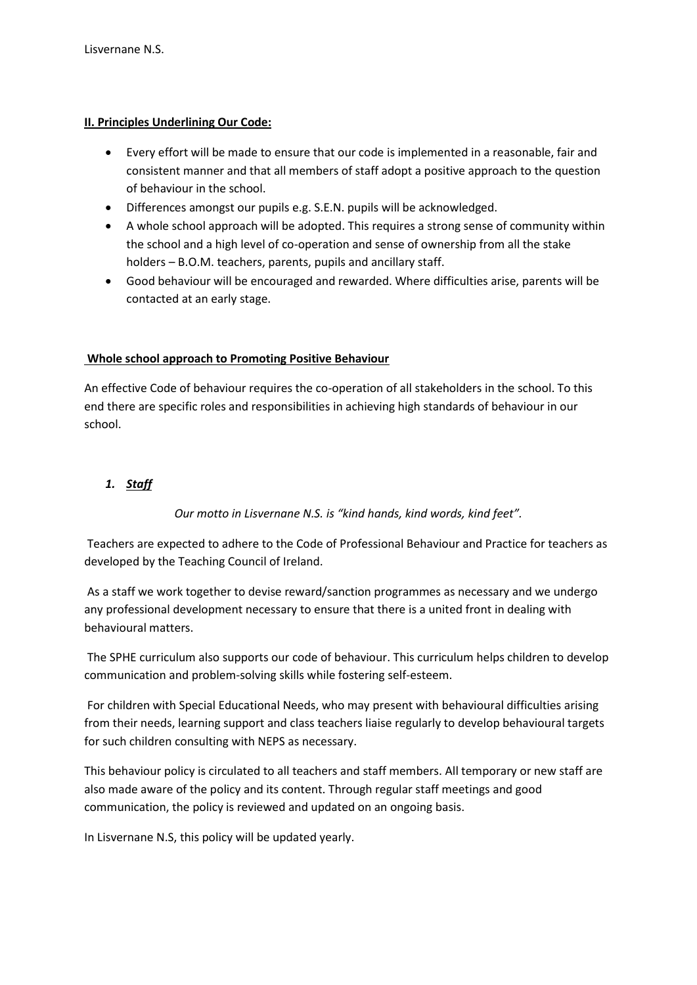# **II. Principles Underlining Our Code:**

- Every effort will be made to ensure that our code is implemented in a reasonable, fair and consistent manner and that all members of staff adopt a positive approach to the question of behaviour in the school.
- Differences amongst our pupils e.g. S.E.N. pupils will be acknowledged.
- A whole school approach will be adopted. This requires a strong sense of community within the school and a high level of co-operation and sense of ownership from all the stake holders – B.O.M. teachers, parents, pupils and ancillary staff.
- Good behaviour will be encouraged and rewarded. Where difficulties arise, parents will be contacted at an early stage.

# **Whole school approach to Promoting Positive Behaviour**

An effective Code of behaviour requires the co-operation of all stakeholders in the school. To this end there are specific roles and responsibilities in achieving high standards of behaviour in our school.

# *1. Staff*

*Our motto in Lisvernane N.S. is "kind hands, kind words, kind feet".*

Teachers are expected to adhere to the Code of Professional Behaviour and Practice for teachers as developed by the Teaching Council of Ireland.

As a staff we work together to devise reward/sanction programmes as necessary and we undergo any professional development necessary to ensure that there is a united front in dealing with behavioural matters.

The SPHE curriculum also supports our code of behaviour. This curriculum helps children to develop communication and problem-solving skills while fostering self-esteem.

For children with Special Educational Needs, who may present with behavioural difficulties arising from their needs, learning support and class teachers liaise regularly to develop behavioural targets for such children consulting with NEPS as necessary.

This behaviour policy is circulated to all teachers and staff members. All temporary or new staff are also made aware of the policy and its content. Through regular staff meetings and good communication, the policy is reviewed and updated on an ongoing basis.

In Lisvernane N.S, this policy will be updated yearly.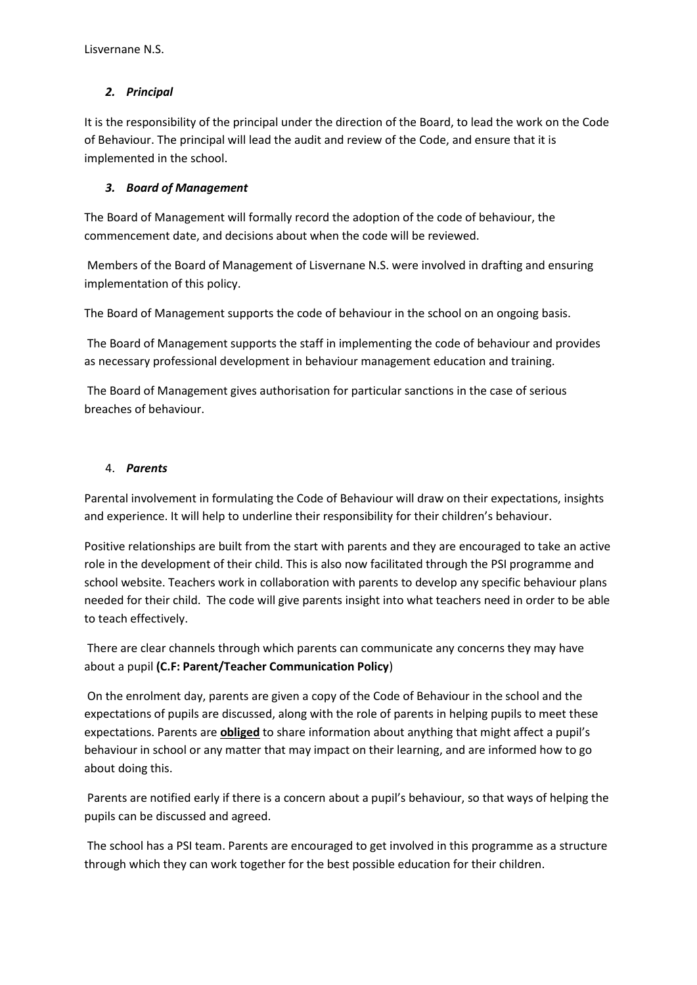# *2. Principal*

It is the responsibility of the principal under the direction of the Board, to lead the work on the Code of Behaviour. The principal will lead the audit and review of the Code, and ensure that it is implemented in the school.

# *3. Board of Management*

The Board of Management will formally record the adoption of the code of behaviour, the commencement date, and decisions about when the code will be reviewed.

Members of the Board of Management of Lisvernane N.S. were involved in drafting and ensuring implementation of this policy.

The Board of Management supports the code of behaviour in the school on an ongoing basis.

The Board of Management supports the staff in implementing the code of behaviour and provides as necessary professional development in behaviour management education and training.

The Board of Management gives authorisation for particular sanctions in the case of serious breaches of behaviour.

# 4. *Parents*

Parental involvement in formulating the Code of Behaviour will draw on their expectations, insights and experience. It will help to underline their responsibility for their children's behaviour.

Positive relationships are built from the start with parents and they are encouraged to take an active role in the development of their child. This is also now facilitated through the PSI programme and school website. Teachers work in collaboration with parents to develop any specific behaviour plans needed for their child. The code will give parents insight into what teachers need in order to be able to teach effectively.

There are clear channels through which parents can communicate any concerns they may have about a pupil **(C.F: Parent/Teacher Communication Policy**)

On the enrolment day, parents are given a copy of the Code of Behaviour in the school and the expectations of pupils are discussed, along with the role of parents in helping pupils to meet these expectations. Parents are **obliged** to share information about anything that might affect a pupil's behaviour in school or any matter that may impact on their learning, and are informed how to go about doing this.

Parents are notified early if there is a concern about a pupil's behaviour, so that ways of helping the pupils can be discussed and agreed.

The school has a PSI team. Parents are encouraged to get involved in this programme as a structure through which they can work together for the best possible education for their children.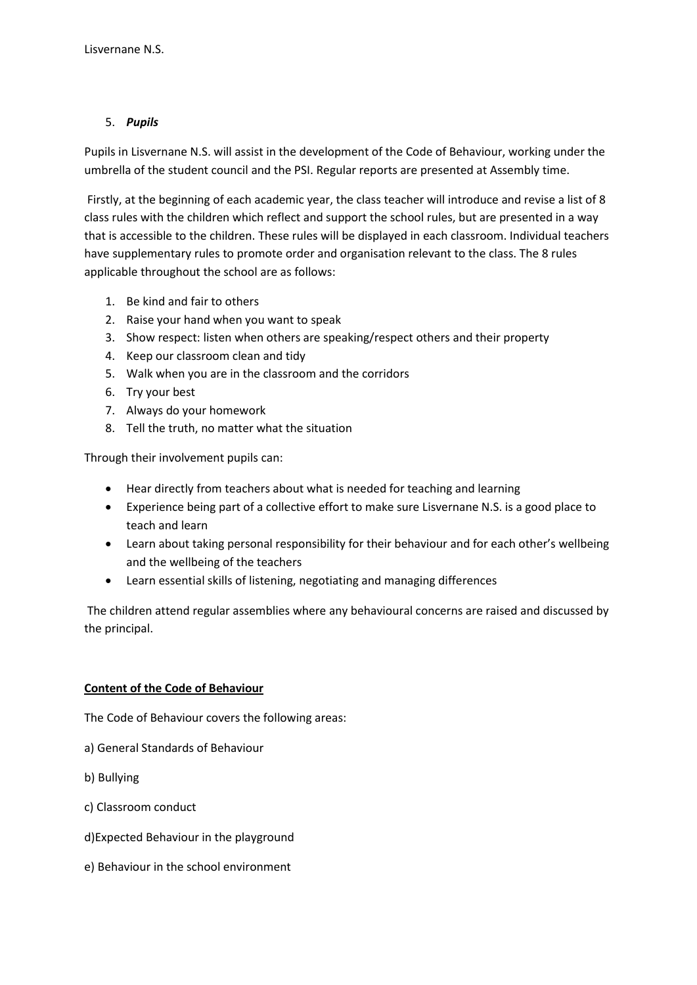# 5. *Pupils*

Pupils in Lisvernane N.S. will assist in the development of the Code of Behaviour, working under the umbrella of the student council and the PSI. Regular reports are presented at Assembly time.

Firstly, at the beginning of each academic year, the class teacher will introduce and revise a list of 8 class rules with the children which reflect and support the school rules, but are presented in a way that is accessible to the children. These rules will be displayed in each classroom. Individual teachers have supplementary rules to promote order and organisation relevant to the class. The 8 rules applicable throughout the school are as follows:

- 1. Be kind and fair to others
- 2. Raise your hand when you want to speak
- 3. Show respect: listen when others are speaking/respect others and their property
- 4. Keep our classroom clean and tidy
- 5. Walk when you are in the classroom and the corridors
- 6. Try your best
- 7. Always do your homework
- 8. Tell the truth, no matter what the situation

Through their involvement pupils can:

- Hear directly from teachers about what is needed for teaching and learning
- Experience being part of a collective effort to make sure Lisvernane N.S. is a good place to teach and learn
- Learn about taking personal responsibility for their behaviour and for each other's wellbeing and the wellbeing of the teachers
- Learn essential skills of listening, negotiating and managing differences

The children attend regular assemblies where any behavioural concerns are raised and discussed by the principal.

# **Content of the Code of Behaviour**

The Code of Behaviour covers the following areas:

- a) General Standards of Behaviour
- b) Bullying
- c) Classroom conduct
- d)Expected Behaviour in the playground
- e) Behaviour in the school environment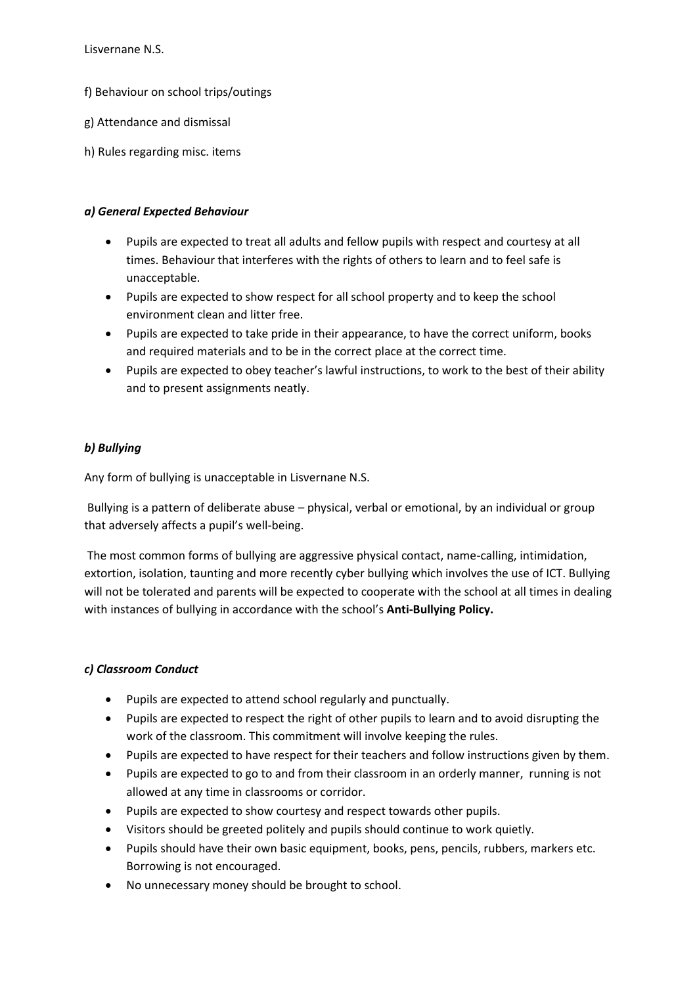- f) Behaviour on school trips/outings
- g) Attendance and dismissal
- h) Rules regarding misc. items

# *a) General Expected Behaviour*

- Pupils are expected to treat all adults and fellow pupils with respect and courtesy at all times. Behaviour that interferes with the rights of others to learn and to feel safe is unacceptable.
- Pupils are expected to show respect for all school property and to keep the school environment clean and litter free.
- Pupils are expected to take pride in their appearance, to have the correct uniform, books and required materials and to be in the correct place at the correct time.
- Pupils are expected to obey teacher's lawful instructions, to work to the best of their ability and to present assignments neatly.

# *b) Bullying*

Any form of bullying is unacceptable in Lisvernane N.S.

Bullying is a pattern of deliberate abuse – physical, verbal or emotional, by an individual or group that adversely affects a pupil's well-being.

The most common forms of bullying are aggressive physical contact, name-calling, intimidation, extortion, isolation, taunting and more recently cyber bullying which involves the use of ICT. Bullying will not be tolerated and parents will be expected to cooperate with the school at all times in dealing with instances of bullying in accordance with the school's **Anti-Bullying Policy.** 

# *c) Classroom Conduct*

- Pupils are expected to attend school regularly and punctually.
- Pupils are expected to respect the right of other pupils to learn and to avoid disrupting the work of the classroom. This commitment will involve keeping the rules.
- Pupils are expected to have respect for their teachers and follow instructions given by them.
- Pupils are expected to go to and from their classroom in an orderly manner, running is not allowed at any time in classrooms or corridor.
- Pupils are expected to show courtesy and respect towards other pupils.
- Visitors should be greeted politely and pupils should continue to work quietly.
- Pupils should have their own basic equipment, books, pens, pencils, rubbers, markers etc. Borrowing is not encouraged.
- No unnecessary money should be brought to school.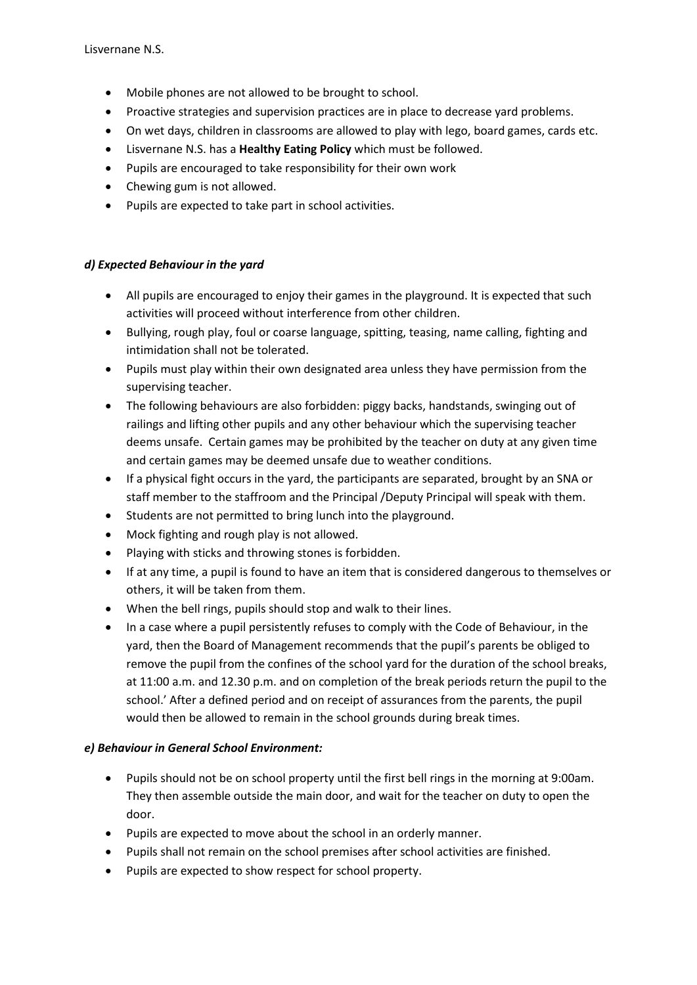- Mobile phones are not allowed to be brought to school.
- Proactive strategies and supervision practices are in place to decrease yard problems.
- On wet days, children in classrooms are allowed to play with lego, board games, cards etc.
- Lisvernane N.S. has a **Healthy Eating Policy** which must be followed.
- Pupils are encouraged to take responsibility for their own work
- Chewing gum is not allowed.
- Pupils are expected to take part in school activities.

# *d) Expected Behaviour in the yard*

- All pupils are encouraged to enjoy their games in the playground. It is expected that such activities will proceed without interference from other children.
- Bullying, rough play, foul or coarse language, spitting, teasing, name calling, fighting and intimidation shall not be tolerated.
- Pupils must play within their own designated area unless they have permission from the supervising teacher.
- The following behaviours are also forbidden: piggy backs, handstands, swinging out of railings and lifting other pupils and any other behaviour which the supervising teacher deems unsafe. Certain games may be prohibited by the teacher on duty at any given time and certain games may be deemed unsafe due to weather conditions.
- If a physical fight occurs in the yard, the participants are separated, brought by an SNA or staff member to the staffroom and the Principal /Deputy Principal will speak with them.
- Students are not permitted to bring lunch into the playground.
- Mock fighting and rough play is not allowed.
- Playing with sticks and throwing stones is forbidden.
- If at any time, a pupil is found to have an item that is considered dangerous to themselves or others, it will be taken from them.
- When the bell rings, pupils should stop and walk to their lines.
- In a case where a pupil persistently refuses to comply with the Code of Behaviour, in the yard, then the Board of Management recommends that the pupil's parents be obliged to remove the pupil from the confines of the school yard for the duration of the school breaks, at 11:00 a.m. and 12.30 p.m. and on completion of the break periods return the pupil to the school.' After a defined period and on receipt of assurances from the parents, the pupil would then be allowed to remain in the school grounds during break times.

# *e) Behaviour in General School Environment:*

- Pupils should not be on school property until the first bell rings in the morning at 9:00am. They then assemble outside the main door, and wait for the teacher on duty to open the door.
- Pupils are expected to move about the school in an orderly manner.
- Pupils shall not remain on the school premises after school activities are finished.
- Pupils are expected to show respect for school property.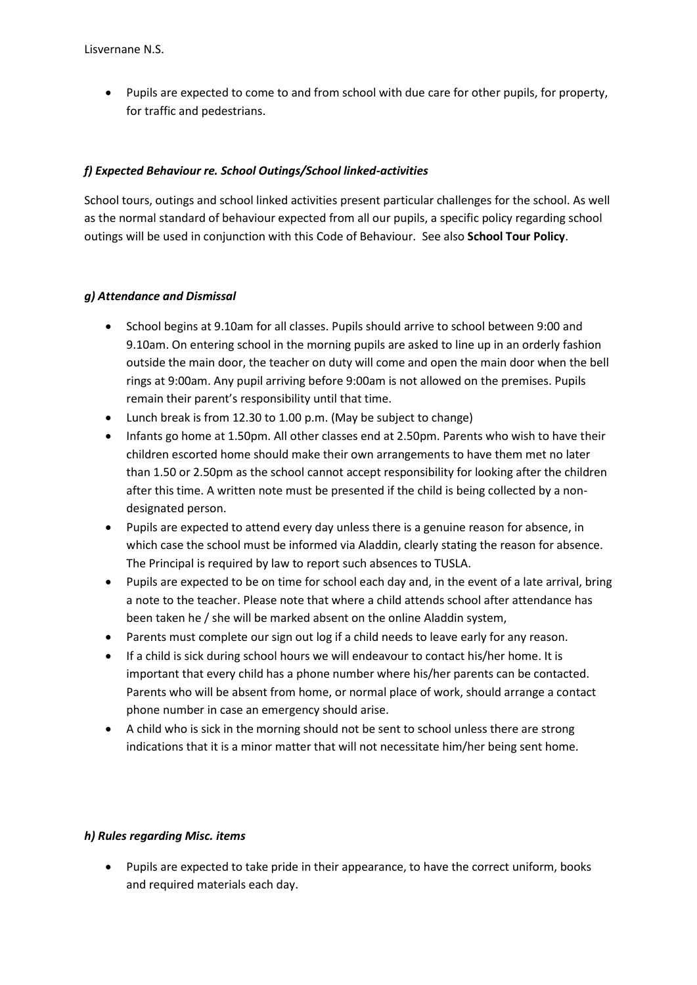• Pupils are expected to come to and from school with due care for other pupils, for property, for traffic and pedestrians.

## *f) Expected Behaviour re. School Outings/School linked-activities*

School tours, outings and school linked activities present particular challenges for the school. As well as the normal standard of behaviour expected from all our pupils, a specific policy regarding school outings will be used in conjunction with this Code of Behaviour. See also **School Tour Policy**.

#### *g) Attendance and Dismissal*

- School begins at 9.10am for all classes. Pupils should arrive to school between 9:00 and 9.10am. On entering school in the morning pupils are asked to line up in an orderly fashion outside the main door, the teacher on duty will come and open the main door when the bell rings at 9:00am. Any pupil arriving before 9:00am is not allowed on the premises. Pupils remain their parent's responsibility until that time.
- Lunch break is from 12.30 to 1.00 p.m. (May be subject to change)
- Infants go home at 1.50pm. All other classes end at 2.50pm. Parents who wish to have their children escorted home should make their own arrangements to have them met no later than 1.50 or 2.50pm as the school cannot accept responsibility for looking after the children after this time. A written note must be presented if the child is being collected by a nondesignated person.
- Pupils are expected to attend every day unless there is a genuine reason for absence, in which case the school must be informed via Aladdin, clearly stating the reason for absence. The Principal is required by law to report such absences to TUSLA.
- Pupils are expected to be on time for school each day and, in the event of a late arrival, bring a note to the teacher. Please note that where a child attends school after attendance has been taken he / she will be marked absent on the online Aladdin system,
- Parents must complete our sign out log if a child needs to leave early for any reason.
- If a child is sick during school hours we will endeavour to contact his/her home. It is important that every child has a phone number where his/her parents can be contacted. Parents who will be absent from home, or normal place of work, should arrange a contact phone number in case an emergency should arise.
- A child who is sick in the morning should not be sent to school unless there are strong indications that it is a minor matter that will not necessitate him/her being sent home.

# *h) Rules regarding Misc. items*

• Pupils are expected to take pride in their appearance, to have the correct uniform, books and required materials each day.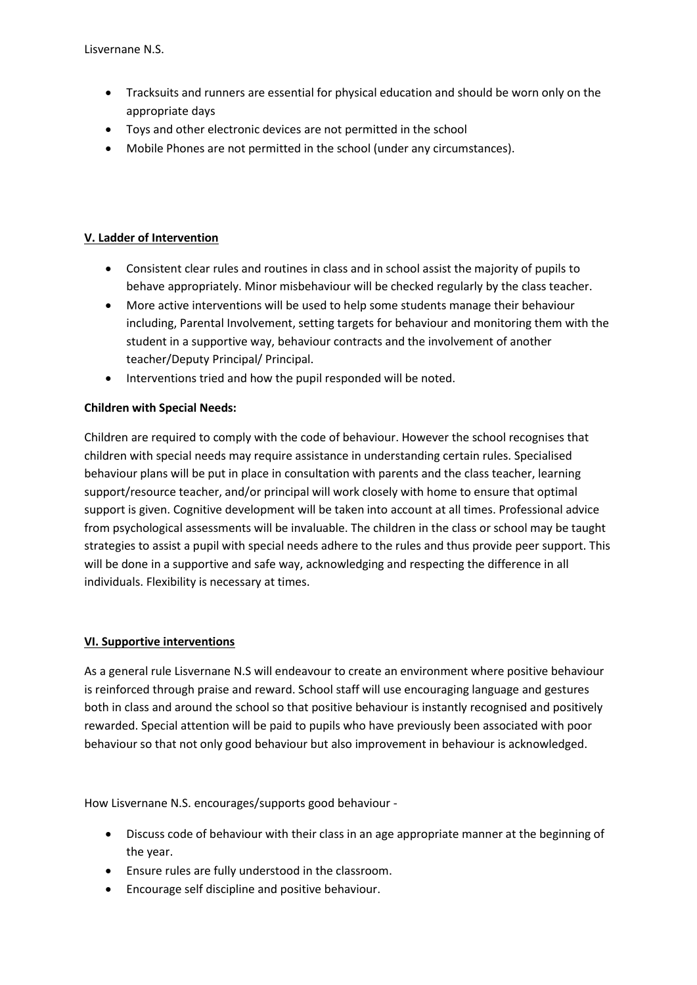- Tracksuits and runners are essential for physical education and should be worn only on the appropriate days
- Toys and other electronic devices are not permitted in the school
- Mobile Phones are not permitted in the school (under any circumstances).

# **V. Ladder of Intervention**

- Consistent clear rules and routines in class and in school assist the majority of pupils to behave appropriately. Minor misbehaviour will be checked regularly by the class teacher.
- More active interventions will be used to help some students manage their behaviour including, Parental Involvement, setting targets for behaviour and monitoring them with the student in a supportive way, behaviour contracts and the involvement of another teacher/Deputy Principal/ Principal.
- Interventions tried and how the pupil responded will be noted.

# **Children with Special Needs:**

Children are required to comply with the code of behaviour. However the school recognises that children with special needs may require assistance in understanding certain rules. Specialised behaviour plans will be put in place in consultation with parents and the class teacher, learning support/resource teacher, and/or principal will work closely with home to ensure that optimal support is given. Cognitive development will be taken into account at all times. Professional advice from psychological assessments will be invaluable. The children in the class or school may be taught strategies to assist a pupil with special needs adhere to the rules and thus provide peer support. This will be done in a supportive and safe way, acknowledging and respecting the difference in all individuals. Flexibility is necessary at times.

# **VI. Supportive interventions**

As a general rule Lisvernane N.S will endeavour to create an environment where positive behaviour is reinforced through praise and reward. School staff will use encouraging language and gestures both in class and around the school so that positive behaviour is instantly recognised and positively rewarded. Special attention will be paid to pupils who have previously been associated with poor behaviour so that not only good behaviour but also improvement in behaviour is acknowledged.

How Lisvernane N.S. encourages/supports good behaviour -

- Discuss code of behaviour with their class in an age appropriate manner at the beginning of the year.
- Ensure rules are fully understood in the classroom.
- Encourage self discipline and positive behaviour.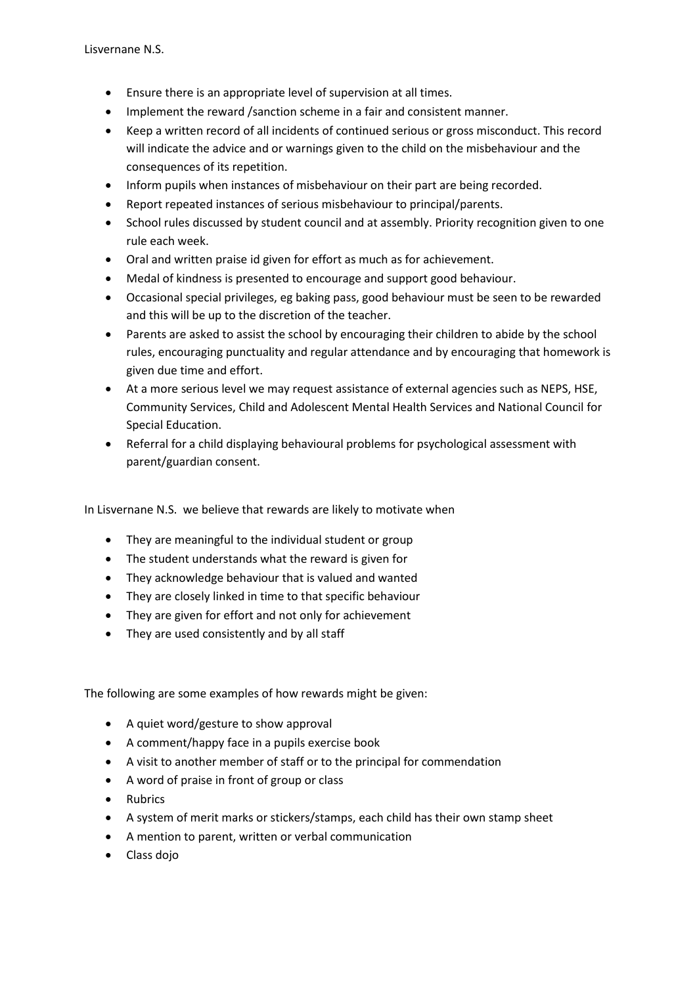- Ensure there is an appropriate level of supervision at all times.
- Implement the reward /sanction scheme in a fair and consistent manner.
- Keep a written record of all incidents of continued serious or gross misconduct. This record will indicate the advice and or warnings given to the child on the misbehaviour and the consequences of its repetition.
- Inform pupils when instances of misbehaviour on their part are being recorded.
- Report repeated instances of serious misbehaviour to principal/parents.
- School rules discussed by student council and at assembly. Priority recognition given to one rule each week.
- Oral and written praise id given for effort as much as for achievement.
- Medal of kindness is presented to encourage and support good behaviour.
- Occasional special privileges, eg baking pass, good behaviour must be seen to be rewarded and this will be up to the discretion of the teacher.
- Parents are asked to assist the school by encouraging their children to abide by the school rules, encouraging punctuality and regular attendance and by encouraging that homework is given due time and effort.
- At a more serious level we may request assistance of external agencies such as NEPS, HSE, Community Services, Child and Adolescent Mental Health Services and National Council for Special Education.
- Referral for a child displaying behavioural problems for psychological assessment with parent/guardian consent.

In Lisvernane N.S. we believe that rewards are likely to motivate when

- They are meaningful to the individual student or group
- The student understands what the reward is given for
- They acknowledge behaviour that is valued and wanted
- They are closely linked in time to that specific behaviour
- They are given for effort and not only for achievement
- They are used consistently and by all staff

The following are some examples of how rewards might be given:

- A quiet word/gesture to show approval
- A comment/happy face in a pupils exercise book
- A visit to another member of staff or to the principal for commendation
- A word of praise in front of group or class
- Rubrics
- A system of merit marks or stickers/stamps, each child has their own stamp sheet
- A mention to parent, written or verbal communication
- Class dojo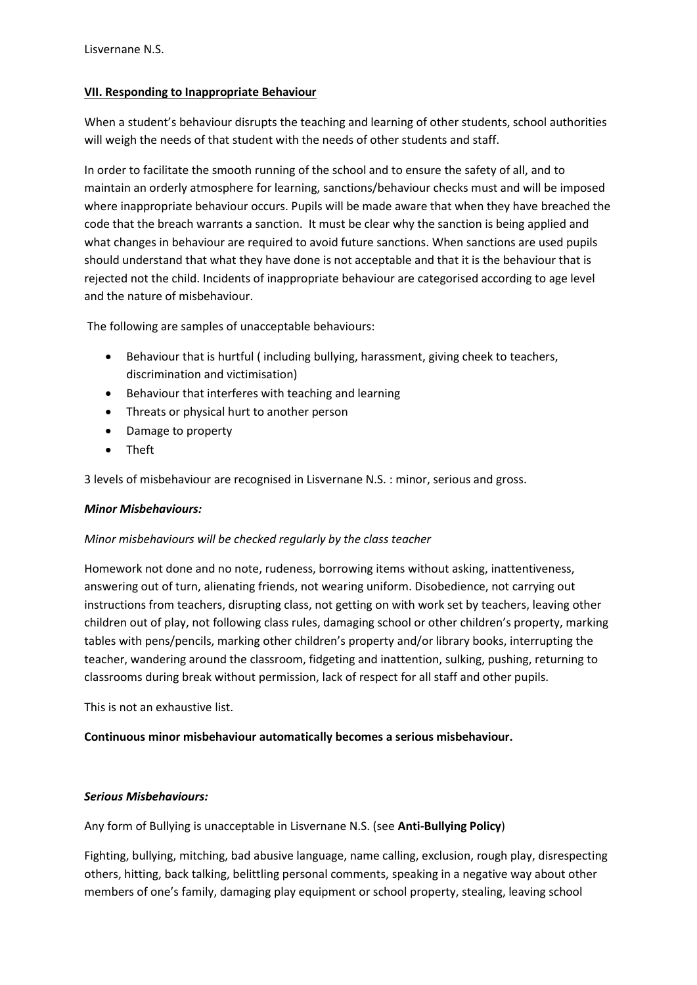#### **VII. Responding to Inappropriate Behaviour**

When a student's behaviour disrupts the teaching and learning of other students, school authorities will weigh the needs of that student with the needs of other students and staff.

In order to facilitate the smooth running of the school and to ensure the safety of all, and to maintain an orderly atmosphere for learning, sanctions/behaviour checks must and will be imposed where inappropriate behaviour occurs. Pupils will be made aware that when they have breached the code that the breach warrants a sanction. It must be clear why the sanction is being applied and what changes in behaviour are required to avoid future sanctions. When sanctions are used pupils should understand that what they have done is not acceptable and that it is the behaviour that is rejected not the child. Incidents of inappropriate behaviour are categorised according to age level and the nature of misbehaviour.

The following are samples of unacceptable behaviours:

- Behaviour that is hurtful ( including bullying, harassment, giving cheek to teachers, discrimination and victimisation)
- Behaviour that interferes with teaching and learning
- Threats or physical hurt to another person
- Damage to property
- Theft

3 levels of misbehaviour are recognised in Lisvernane N.S. : minor, serious and gross.

#### *Minor Misbehaviours:*

#### *Minor misbehaviours will be checked regularly by the class teacher*

Homework not done and no note, rudeness, borrowing items without asking, inattentiveness, answering out of turn, alienating friends, not wearing uniform. Disobedience, not carrying out instructions from teachers, disrupting class, not getting on with work set by teachers, leaving other children out of play, not following class rules, damaging school or other children's property, marking tables with pens/pencils, marking other children's property and/or library books, interrupting the teacher, wandering around the classroom, fidgeting and inattention, sulking, pushing, returning to classrooms during break without permission, lack of respect for all staff and other pupils.

This is not an exhaustive list.

# **Continuous minor misbehaviour automatically becomes a serious misbehaviour.**

# *Serious Misbehaviours:*

Any form of Bullying is unacceptable in Lisvernane N.S. (see **Anti-Bullying Policy**)

Fighting, bullying, mitching, bad abusive language, name calling, exclusion, rough play, disrespecting others, hitting, back talking, belittling personal comments, speaking in a negative way about other members of one's family, damaging play equipment or school property, stealing, leaving school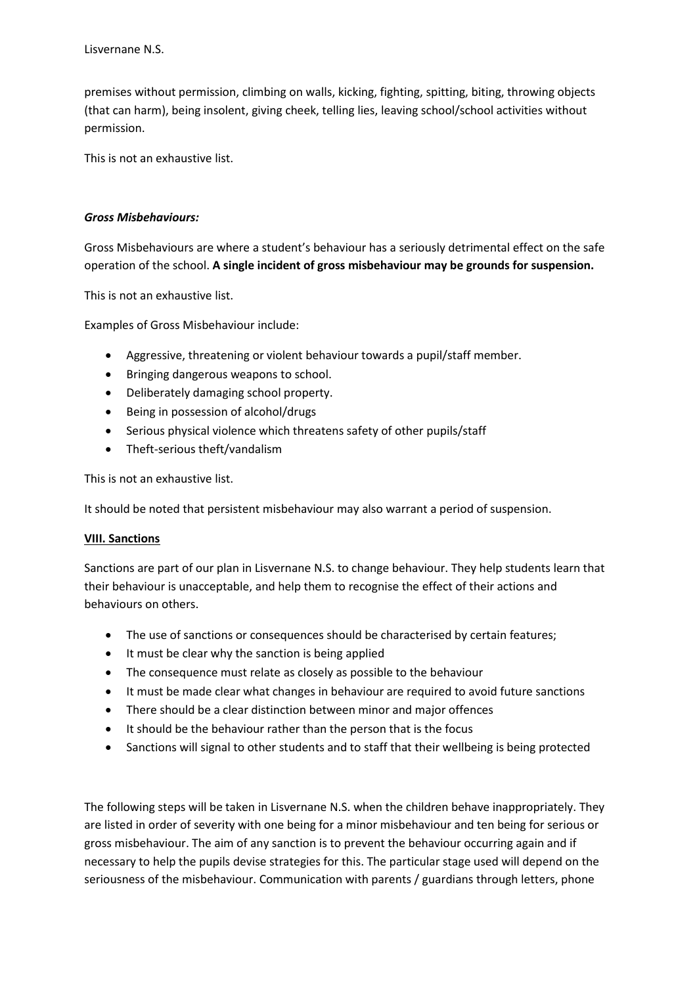premises without permission, climbing on walls, kicking, fighting, spitting, biting, throwing objects (that can harm), being insolent, giving cheek, telling lies, leaving school/school activities without permission.

This is not an exhaustive list.

#### *Gross Misbehaviours:*

Gross Misbehaviours are where a student's behaviour has a seriously detrimental effect on the safe operation of the school. **A single incident of gross misbehaviour may be grounds for suspension.** 

This is not an exhaustive list.

Examples of Gross Misbehaviour include:

- Aggressive, threatening or violent behaviour towards a pupil/staff member.
- Bringing dangerous weapons to school.
- Deliberately damaging school property.
- Being in possession of alcohol/drugs
- Serious physical violence which threatens safety of other pupils/staff
- Theft-serious theft/vandalism

This is not an exhaustive list.

It should be noted that persistent misbehaviour may also warrant a period of suspension.

#### **VIII. Sanctions**

Sanctions are part of our plan in Lisvernane N.S. to change behaviour. They help students learn that their behaviour is unacceptable, and help them to recognise the effect of their actions and behaviours on others.

- The use of sanctions or consequences should be characterised by certain features;
- It must be clear why the sanction is being applied
- The consequence must relate as closely as possible to the behaviour
- It must be made clear what changes in behaviour are required to avoid future sanctions
- There should be a clear distinction between minor and major offences
- It should be the behaviour rather than the person that is the focus
- Sanctions will signal to other students and to staff that their wellbeing is being protected

The following steps will be taken in Lisvernane N.S. when the children behave inappropriately. They are listed in order of severity with one being for a minor misbehaviour and ten being for serious or gross misbehaviour. The aim of any sanction is to prevent the behaviour occurring again and if necessary to help the pupils devise strategies for this. The particular stage used will depend on the seriousness of the misbehaviour. Communication with parents / guardians through letters, phone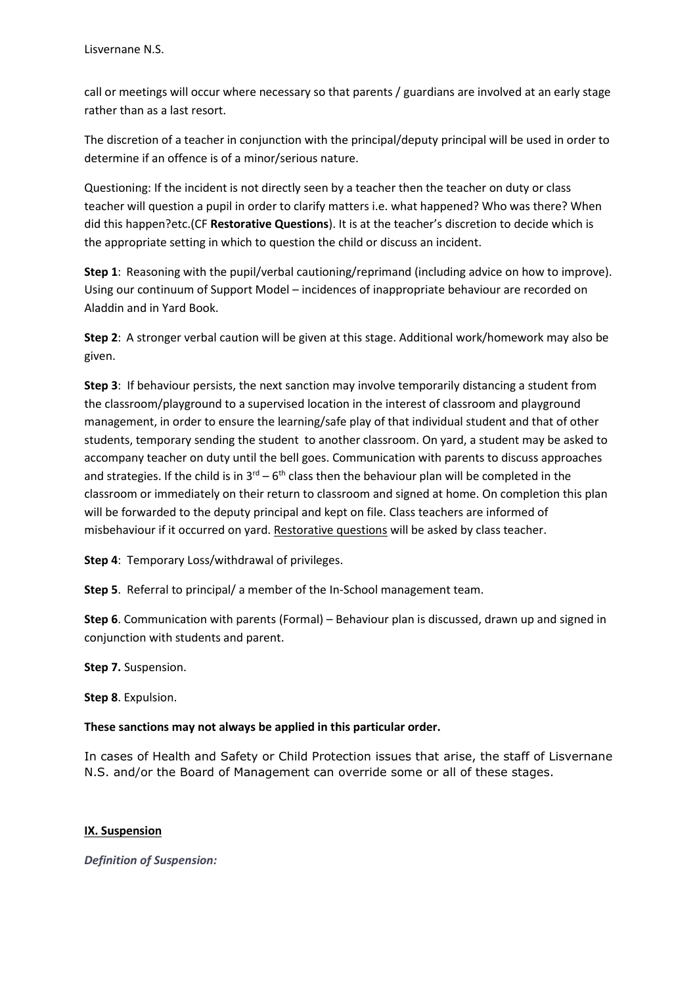call or meetings will occur where necessary so that parents / guardians are involved at an early stage rather than as a last resort.

The discretion of a teacher in conjunction with the principal/deputy principal will be used in order to determine if an offence is of a minor/serious nature.

Questioning: If the incident is not directly seen by a teacher then the teacher on duty or class teacher will question a pupil in order to clarify matters i.e. what happened? Who was there? When did this happen?etc.(CF **Restorative Questions**). It is at the teacher's discretion to decide which is the appropriate setting in which to question the child or discuss an incident.

**Step 1**: Reasoning with the pupil/verbal cautioning/reprimand (including advice on how to improve). Using our continuum of Support Model – incidences of inappropriate behaviour are recorded on Aladdin and in Yard Book.

**Step 2**: A stronger verbal caution will be given at this stage. Additional work/homework may also be given.

**Step 3**: If behaviour persists, the next sanction may involve temporarily distancing a student from the classroom/playground to a supervised location in the interest of classroom and playground management, in order to ensure the learning/safe play of that individual student and that of other students, temporary sending the student to another classroom. On yard, a student may be asked to accompany teacher on duty until the bell goes. Communication with parents to discuss approaches and strategies. If the child is in  $3^{rd} - 6^{th}$  class then the behaviour plan will be completed in the classroom or immediately on their return to classroom and signed at home. On completion this plan will be forwarded to the deputy principal and kept on file. Class teachers are informed of misbehaviour if it occurred on yard. Restorative questions will be asked by class teacher.

**Step 4**: Temporary Loss/withdrawal of privileges.

**Step 5**. Referral to principal/ a member of the In-School management team.

**Step 6**. Communication with parents (Formal) – Behaviour plan is discussed, drawn up and signed in conjunction with students and parent.

**Step 7.** Suspension.

**Step 8**. Expulsion.

# **These sanctions may not always be applied in this particular order.**

In cases of Health and Safety or Child Protection issues that arise, the staff of Lisvernane N.S. and/or the Board of Management can override some or all of these stages.

# **IX. Suspension**

*Definition of Suspension:*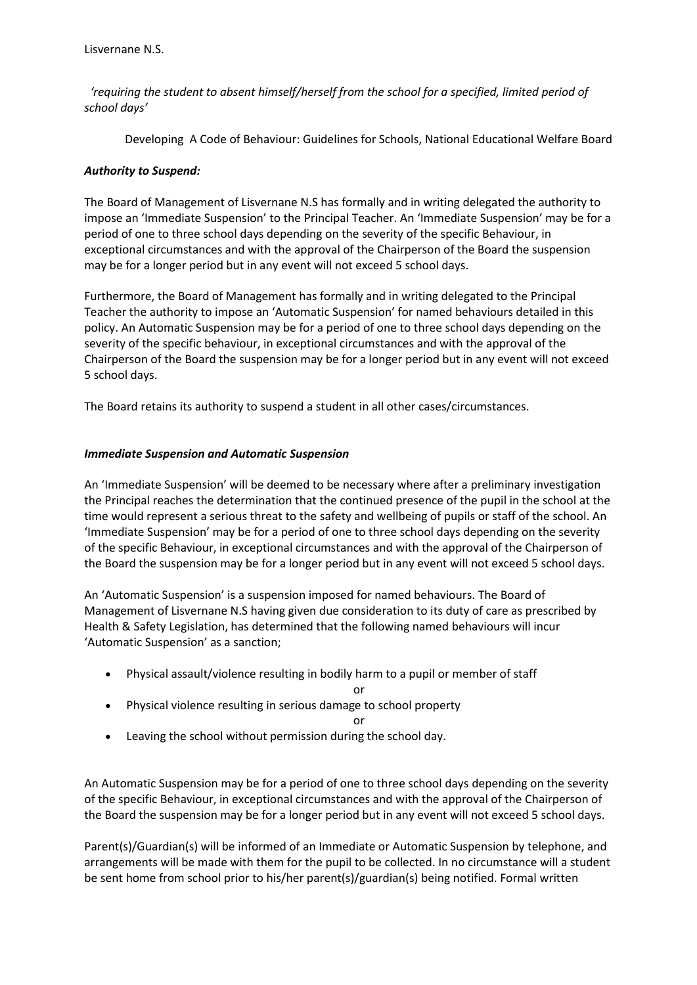*'requiring the student to absent himself/herself from the school for a specified, limited period of school days'*

Developing A Code of Behaviour: Guidelines for Schools, National Educational Welfare Board

#### *Authority to Suspend:*

The Board of Management of Lisvernane N.S has formally and in writing delegated the authority to impose an 'Immediate Suspension' to the Principal Teacher. An 'Immediate Suspension' may be for a period of one to three school days depending on the severity of the specific Behaviour, in exceptional circumstances and with the approval of the Chairperson of the Board the suspension may be for a longer period but in any event will not exceed 5 school days.

Furthermore, the Board of Management has formally and in writing delegated to the Principal Teacher the authority to impose an 'Automatic Suspension' for named behaviours detailed in this policy. An Automatic Suspension may be for a period of one to three school days depending on the severity of the specific behaviour, in exceptional circumstances and with the approval of the Chairperson of the Board the suspension may be for a longer period but in any event will not exceed 5 school days.

The Board retains its authority to suspend a student in all other cases/circumstances.

#### *Immediate Suspension and Automatic Suspension*

An 'Immediate Suspension' will be deemed to be necessary where after a preliminary investigation the Principal reaches the determination that the continued presence of the pupil in the school at the time would represent a serious threat to the safety and wellbeing of pupils or staff of the school. An 'Immediate Suspension' may be for a period of one to three school days depending on the severity of the specific Behaviour, in exceptional circumstances and with the approval of the Chairperson of the Board the suspension may be for a longer period but in any event will not exceed 5 school days.

An 'Automatic Suspension' is a suspension imposed for named behaviours. The Board of Management of Lisvernane N.S having given due consideration to its duty of care as prescribed by Health & Safety Legislation, has determined that the following named behaviours will incur 'Automatic Suspension' as a sanction;

• Physical assault/violence resulting in bodily harm to a pupil or member of staff

or

• Physical violence resulting in serious damage to school property

or

• Leaving the school without permission during the school day.

An Automatic Suspension may be for a period of one to three school days depending on the severity of the specific Behaviour, in exceptional circumstances and with the approval of the Chairperson of the Board the suspension may be for a longer period but in any event will not exceed 5 school days.

Parent(s)/Guardian(s) will be informed of an Immediate or Automatic Suspension by telephone, and arrangements will be made with them for the pupil to be collected. In no circumstance will a student be sent home from school prior to his/her parent(s)/guardian(s) being notified. Formal written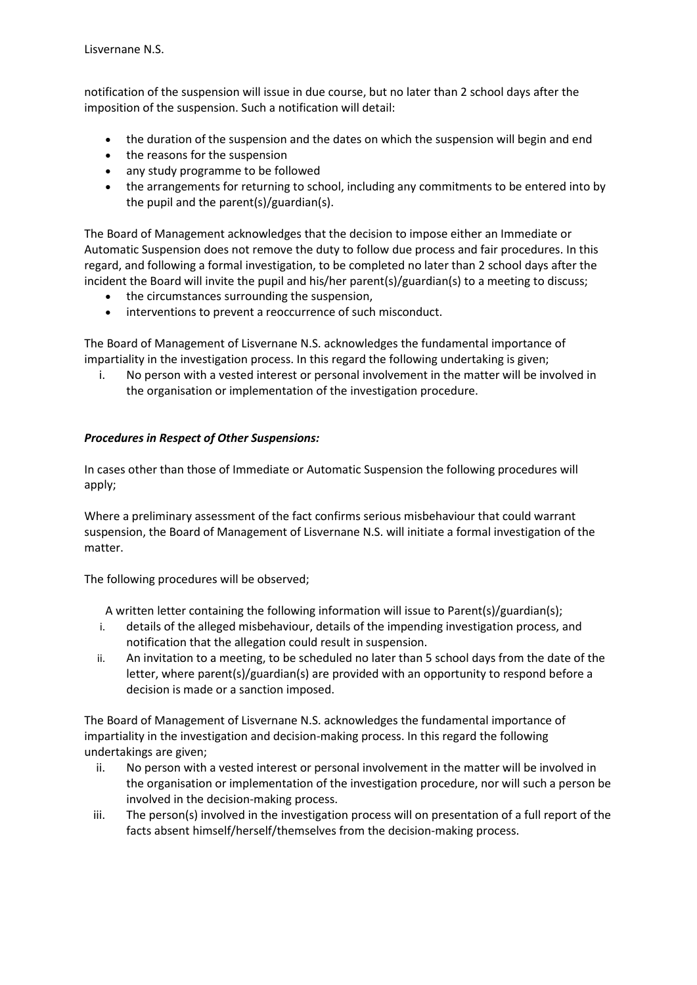notification of the suspension will issue in due course, but no later than 2 school days after the imposition of the suspension. Such a notification will detail:

- the duration of the suspension and the dates on which the suspension will begin and end
- the reasons for the suspension
- any study programme to be followed
- the arrangements for returning to school, including any commitments to be entered into by the pupil and the parent(s)/guardian(s).

The Board of Management acknowledges that the decision to impose either an Immediate or Automatic Suspension does not remove the duty to follow due process and fair procedures. In this regard, and following a formal investigation, to be completed no later than 2 school days after the incident the Board will invite the pupil and his/her parent(s)/guardian(s) to a meeting to discuss;

- the circumstances surrounding the suspension,
- interventions to prevent a reoccurrence of such misconduct.

The Board of Management of Lisvernane N.S. acknowledges the fundamental importance of impartiality in the investigation process. In this regard the following undertaking is given;

i. No person with a vested interest or personal involvement in the matter will be involved in the organisation or implementation of the investigation procedure.

#### *Procedures in Respect of Other Suspensions:*

In cases other than those of Immediate or Automatic Suspension the following procedures will apply;

Where a preliminary assessment of the fact confirms serious misbehaviour that could warrant suspension, the Board of Management of Lisvernane N.S. will initiate a formal investigation of the matter.

The following procedures will be observed;

A written letter containing the following information will issue to Parent(s)/guardian(s);

- i. details of the alleged misbehaviour, details of the impending investigation process, and notification that the allegation could result in suspension.
- ii. An invitation to a meeting, to be scheduled no later than 5 school days from the date of the letter, where parent(s)/guardian(s) are provided with an opportunity to respond before a decision is made or a sanction imposed.

The Board of Management of Lisvernane N.S. acknowledges the fundamental importance of impartiality in the investigation and decision-making process. In this regard the following undertakings are given;

- ii. No person with a vested interest or personal involvement in the matter will be involved in the organisation or implementation of the investigation procedure, nor will such a person be involved in the decision-making process.
- iii. The person(s) involved in the investigation process will on presentation of a full report of the facts absent himself/herself/themselves from the decision-making process.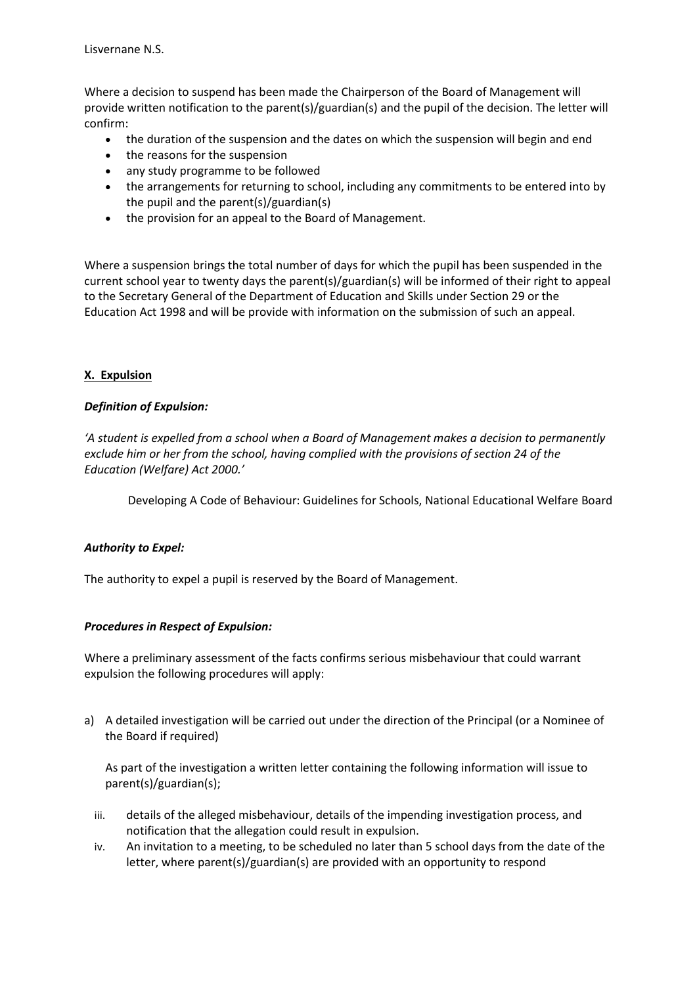Where a decision to suspend has been made the Chairperson of the Board of Management will provide written notification to the parent(s)/guardian(s) and the pupil of the decision. The letter will confirm:

- the duration of the suspension and the dates on which the suspension will begin and end
- the reasons for the suspension
- any study programme to be followed
- the arrangements for returning to school, including any commitments to be entered into by the pupil and the parent(s)/guardian(s)
- the provision for an appeal to the Board of Management.

Where a suspension brings the total number of days for which the pupil has been suspended in the current school year to twenty days the parent(s)/guardian(s) will be informed of their right to appeal to the Secretary General of the Department of Education and Skills under Section 29 or the Education Act 1998 and will be provide with information on the submission of such an appeal.

# **X. Expulsion**

# *Definition of Expulsion:*

*'A student is expelled from a school when a Board of Management makes a decision to permanently exclude him or her from the school, having complied with the provisions of section 24 of the Education (Welfare) Act 2000.'*

Developing A Code of Behaviour: Guidelines for Schools, National Educational Welfare Board

# *Authority to Expel:*

The authority to expel a pupil is reserved by the Board of Management.

# *Procedures in Respect of Expulsion:*

Where a preliminary assessment of the facts confirms serious misbehaviour that could warrant expulsion the following procedures will apply:

a) A detailed investigation will be carried out under the direction of the Principal (or a Nominee of the Board if required)

As part of the investigation a written letter containing the following information will issue to parent(s)/guardian(s);

- iii. details of the alleged misbehaviour, details of the impending investigation process, and notification that the allegation could result in expulsion.
- iv. An invitation to a meeting, to be scheduled no later than 5 school days from the date of the letter, where parent(s)/guardian(s) are provided with an opportunity to respond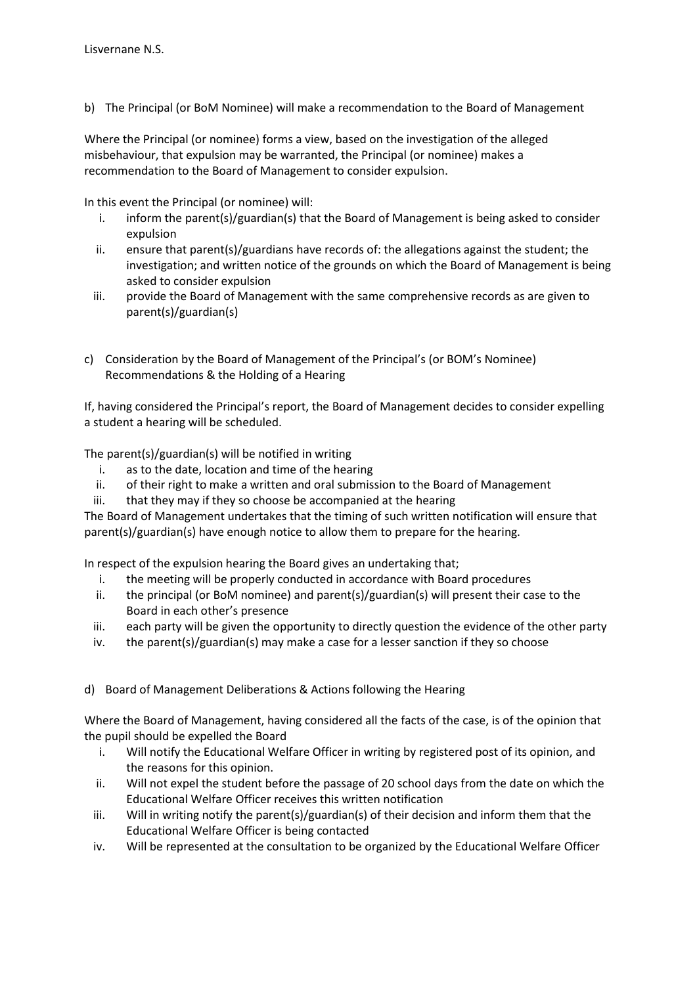b) The Principal (or BoM Nominee) will make a recommendation to the Board of Management

Where the Principal (or nominee) forms a view, based on the investigation of the alleged misbehaviour, that expulsion may be warranted, the Principal (or nominee) makes a recommendation to the Board of Management to consider expulsion.

In this event the Principal (or nominee) will:

- i. inform the parent(s)/guardian(s) that the Board of Management is being asked to consider expulsion
- ii. ensure that parent(s)/guardians have records of: the allegations against the student; the investigation; and written notice of the grounds on which the Board of Management is being asked to consider expulsion
- iii. provide the Board of Management with the same comprehensive records as are given to parent(s)/guardian(s)
- c) Consideration by the Board of Management of the Principal's (or BOM's Nominee) Recommendations & the Holding of a Hearing

If, having considered the Principal's report, the Board of Management decides to consider expelling a student a hearing will be scheduled.

The parent(s)/guardian(s) will be notified in writing

- i. as to the date, location and time of the hearing
- ii. of their right to make a written and oral submission to the Board of Management
- iii. that they may if they so choose be accompanied at the hearing

The Board of Management undertakes that the timing of such written notification will ensure that parent(s)/guardian(s) have enough notice to allow them to prepare for the hearing.

In respect of the expulsion hearing the Board gives an undertaking that;

- i. the meeting will be properly conducted in accordance with Board procedures
- ii. the principal (or BoM nominee) and parent(s)/guardian(s) will present their case to the Board in each other's presence
- iii. each party will be given the opportunity to directly question the evidence of the other party
- iv. the parent(s)/guardian(s) may make a case for a lesser sanction if they so choose
- d) Board of Management Deliberations & Actions following the Hearing

Where the Board of Management, having considered all the facts of the case, is of the opinion that the pupil should be expelled the Board

- i. Will notify the Educational Welfare Officer in writing by registered post of its opinion, and the reasons for this opinion.
- ii. Will not expel the student before the passage of 20 school days from the date on which the Educational Welfare Officer receives this written notification
- iii. Will in writing notify the parent(s)/guardian(s) of their decision and inform them that the Educational Welfare Officer is being contacted
- iv. Will be represented at the consultation to be organized by the Educational Welfare Officer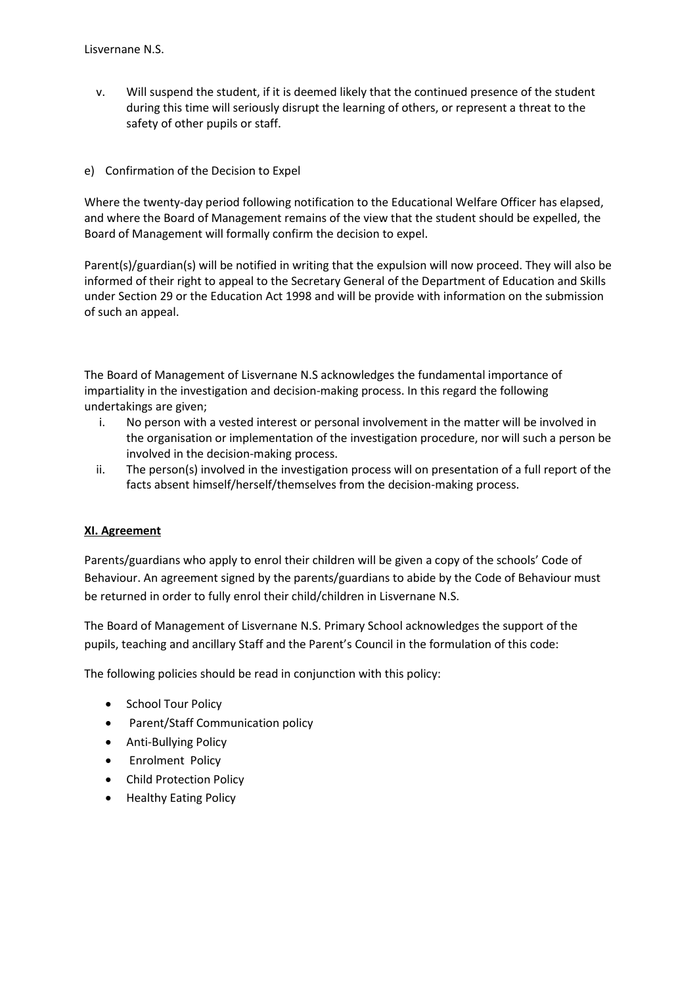- v. Will suspend the student, if it is deemed likely that the continued presence of the student during this time will seriously disrupt the learning of others, or represent a threat to the safety of other pupils or staff.
- e) Confirmation of the Decision to Expel

Where the twenty-day period following notification to the Educational Welfare Officer has elapsed, and where the Board of Management remains of the view that the student should be expelled, the Board of Management will formally confirm the decision to expel.

Parent(s)/guardian(s) will be notified in writing that the expulsion will now proceed. They will also be informed of their right to appeal to the Secretary General of the Department of Education and Skills under Section 29 or the Education Act 1998 and will be provide with information on the submission of such an appeal.

The Board of Management of Lisvernane N.S acknowledges the fundamental importance of impartiality in the investigation and decision-making process. In this regard the following undertakings are given;

- i. No person with a vested interest or personal involvement in the matter will be involved in the organisation or implementation of the investigation procedure, nor will such a person be involved in the decision-making process.
- ii. The person(s) involved in the investigation process will on presentation of a full report of the facts absent himself/herself/themselves from the decision-making process.

# **XI. Agreement**

Parents/guardians who apply to enrol their children will be given a copy of the schools' Code of Behaviour. An agreement signed by the parents/guardians to abide by the Code of Behaviour must be returned in order to fully enrol their child/children in Lisvernane N.S.

The Board of Management of Lisvernane N.S. Primary School acknowledges the support of the pupils, teaching and ancillary Staff and the Parent's Council in the formulation of this code:

The following policies should be read in conjunction with this policy:

- School Tour Policy
- Parent/Staff Communication policy
- Anti-Bullying Policy
- Enrolment Policy
- Child Protection Policy
- Healthy Eating Policy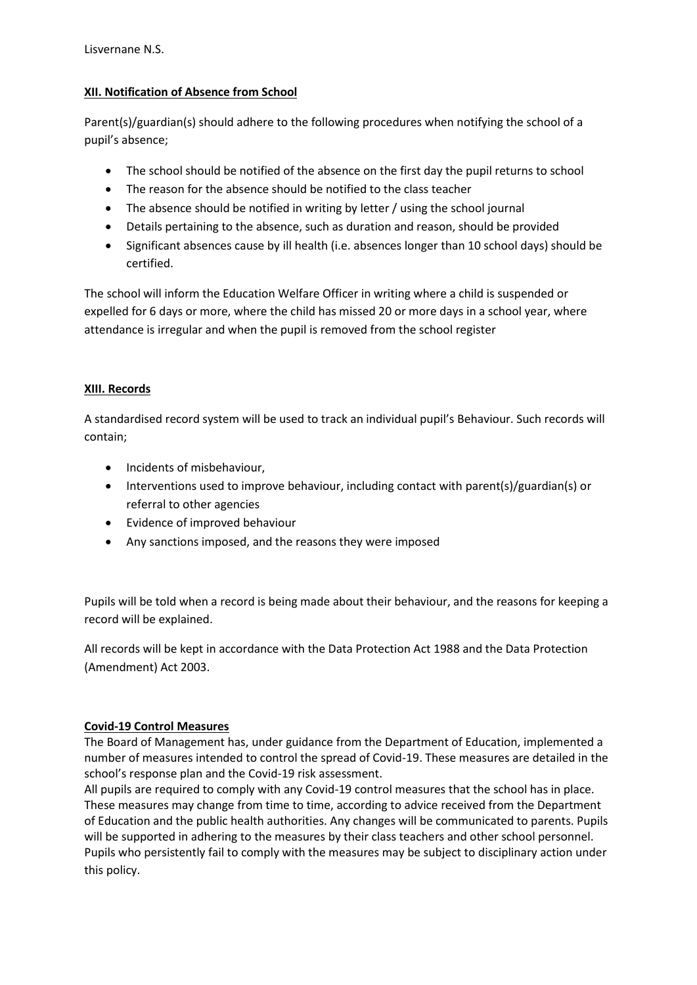# **XII. Notification of Absence from School**

Parent(s)/guardian(s) should adhere to the following procedures when notifying the school of a pupil's absence;

- The school should be notified of the absence on the first day the pupil returns to school
- The reason for the absence should be notified to the class teacher
- The absence should be notified in writing by letter / using the school journal
- Details pertaining to the absence, such as duration and reason, should be provided
- Significant absences cause by ill health (i.e. absences longer than 10 school days) should be certified.

The school will inform the Education Welfare Officer in writing where a child is suspended or expelled for 6 days or more, where the child has missed 20 or more days in a school year, where attendance is irregular and when the pupil is removed from the school register

#### **XIII. Records**

A standardised record system will be used to track an individual pupil's Behaviour. Such records will contain;

- Incidents of misbehaviour,
- Interventions used to improve behaviour, including contact with parent(s)/guardian(s) or referral to other agencies
- Evidence of improved behaviour
- Any sanctions imposed, and the reasons they were imposed

Pupils will be told when a record is being made about their behaviour, and the reasons for keeping a record will be explained.

All records will be kept in accordance with the Data Protection Act 1988 and the Data Protection (Amendment) Act 2003.

# **Covid-19 Control Measures**

The Board of Management has, under guidance from the Department of Education, implemented a number of measures intended to control the spread of Covid-19. These measures are detailed in the school's response plan and the Covid-19 risk assessment.

All pupils are required to comply with any Covid-19 control measures that the school has in place. These measures may change from time to time, according to advice received from the Department of Education and the public health authorities. Any changes will be communicated to parents. Pupils will be supported in adhering to the measures by their class teachers and other school personnel. Pupils who persistently fail to comply with the measures may be subject to disciplinary action under this policy.